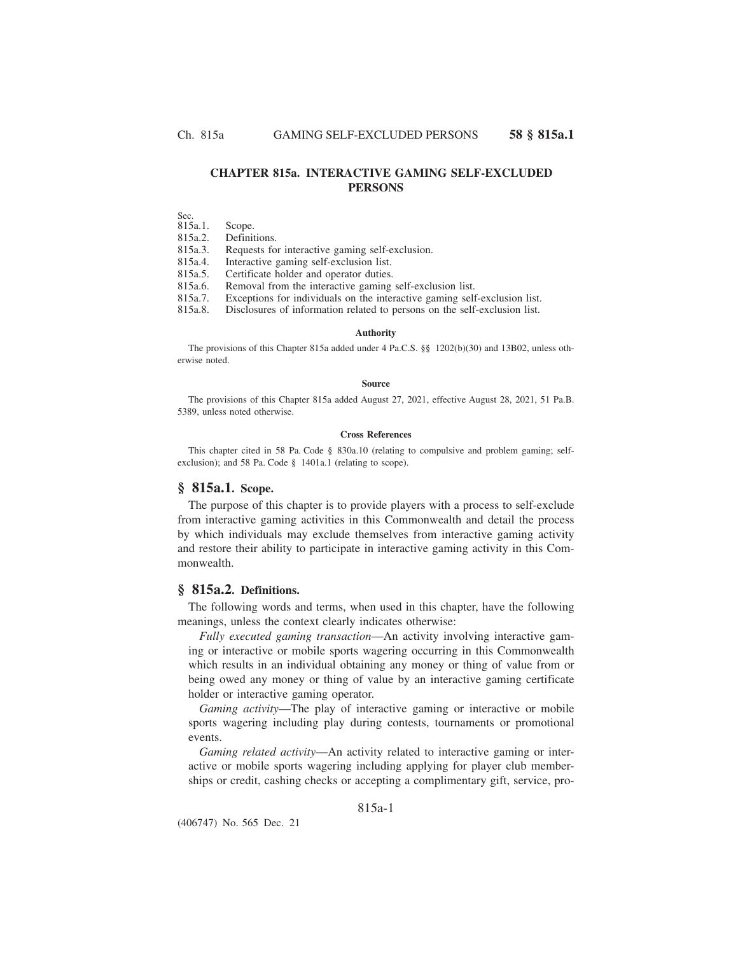# **CHAPTER 815a. INTERACTIVE GAMING SELF-EXCLUDED PERSONS**

Sec.

815a.1. Scope.

815a.2. Definitions.

815a.3. Requests for interactive gaming self-exclusion.

815a.4. Interactive gaming self-exclusion list.

815a.5. Certificate holder and operator duties.

815a.6. Removal from the interactive gaming self-exclusion list.

815a.7. Exceptions for individuals on the interactive gaming self-exclusion list.

815a.8. Disclosures of information related to persons on the self-exclusion list.

#### **Authority**

The provisions of this Chapter 815a added under 4 Pa.C.S. §§ 1202(b)(30) and 13B02, unless otherwise noted.

#### **Source**

The provisions of this Chapter 815a added August 27, 2021, effective August 28, 2021, 51 Pa.B. 5389, unless noted otherwise.

### **Cross References**

This chapter cited in 58 Pa. Code § 830a.10 (relating to compulsive and problem gaming; selfexclusion); and 58 Pa. Code § 1401a.1 (relating to scope).

## **§ 815a.1. Scope.**

The purpose of this chapter is to provide players with a process to self-exclude from interactive gaming activities in this Commonwealth and detail the process by which individuals may exclude themselves from interactive gaming activity and restore their ability to participate in interactive gaming activity in this Commonwealth.

# **§ 815a.2. Definitions.**

The following words and terms, when used in this chapter, have the following meanings, unless the context clearly indicates otherwise:

*Fully executed gaming transaction*—An activity involving interactive gaming or interactive or mobile sports wagering occurring in this Commonwealth which results in an individual obtaining any money or thing of value from or being owed any money or thing of value by an interactive gaming certificate holder or interactive gaming operator.

*Gaming activity*—The play of interactive gaming or interactive or mobile sports wagering including play during contests, tournaments or promotional events.

*Gaming related activity*—An activity related to interactive gaming or interactive or mobile sports wagering including applying for player club memberships or credit, cashing checks or accepting a complimentary gift, service, pro-

## 815a-1

(406747) No. 565 Dec. 21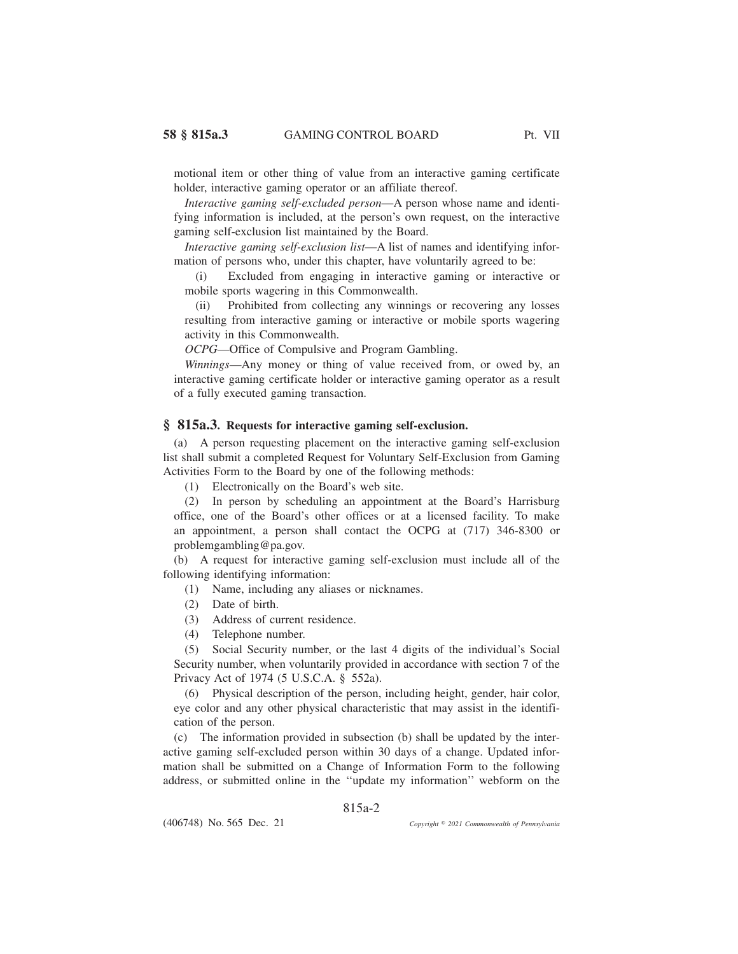motional item or other thing of value from an interactive gaming certificate holder, interactive gaming operator or an affiliate thereof.

*Interactive gaming self-excluded person*—A person whose name and identifying information is included, at the person's own request, on the interactive gaming self-exclusion list maintained by the Board.

*Interactive gaming self-exclusion list*—A list of names and identifying information of persons who, under this chapter, have voluntarily agreed to be:

(i) Excluded from engaging in interactive gaming or interactive or mobile sports wagering in this Commonwealth.

(ii) Prohibited from collecting any winnings or recovering any losses resulting from interactive gaming or interactive or mobile sports wagering activity in this Commonwealth.

*OCPG*—Office of Compulsive and Program Gambling.

*Winnings*—Any money or thing of value received from, or owed by, an interactive gaming certificate holder or interactive gaming operator as a result of a fully executed gaming transaction.

### **§ 815a.3. Requests for interactive gaming self-exclusion.**

(a) A person requesting placement on the interactive gaming self-exclusion list shall submit a completed Request for Voluntary Self-Exclusion from Gaming Activities Form to the Board by one of the following methods:

(1) Electronically on the Board's web site.

(2) In person by scheduling an appointment at the Board's Harrisburg office, one of the Board's other offices or at a licensed facility. To make an appointment, a person shall contact the OCPG at (717) 346-8300 or problemgambling@pa.gov.

(b) A request for interactive gaming self-exclusion must include all of the following identifying information:

(1) Name, including any aliases or nicknames.

- (2) Date of birth.
- (3) Address of current residence.
- (4) Telephone number.

(5) Social Security number, or the last 4 digits of the individual's Social Security number, when voluntarily provided in accordance with section 7 of the Privacy Act of 1974 (5 U.S.C.A. § 552a).

(6) Physical description of the person, including height, gender, hair color, eye color and any other physical characteristic that may assist in the identification of the person.

(c) The information provided in subsection (b) shall be updated by the interactive gaming self-excluded person within 30 days of a change. Updated information shall be submitted on a Change of Information Form to the following address, or submitted online in the ''update my information'' webform on the

815a-2

(406748) No. 565 Dec. 21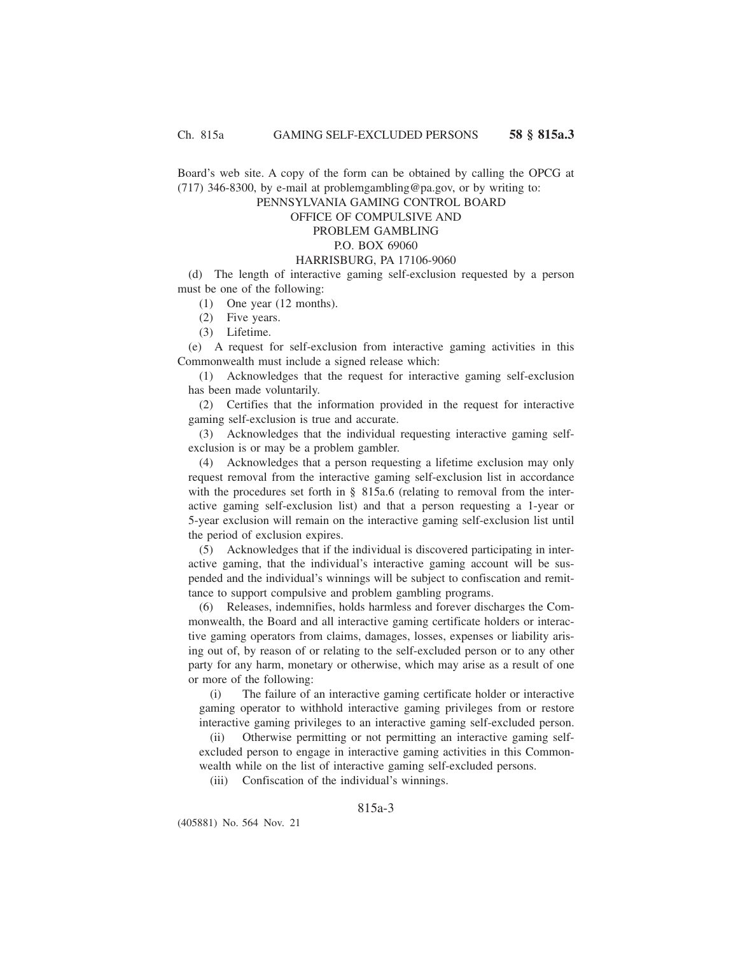Board's web site. A copy of the form can be obtained by calling the OPCG at  $(717)$  346-8300, by e-mail at problemgambling@pa.gov, or by writing to:

PENNSYLVANIA GAMING CONTROL BOARD

# OFFICE OF COMPULSIVE AND

## PROBLEM GAMBLING

## P.O. BOX 69060

### HARRISBURG, PA 17106-9060

(d) The length of interactive gaming self-exclusion requested by a person must be one of the following:

(1) One year (12 months).

(2) Five years.

(3) Lifetime.

(e) A request for self-exclusion from interactive gaming activities in this Commonwealth must include a signed release which:

(1) Acknowledges that the request for interactive gaming self-exclusion has been made voluntarily.

(2) Certifies that the information provided in the request for interactive gaming self-exclusion is true and accurate.

(3) Acknowledges that the individual requesting interactive gaming selfexclusion is or may be a problem gambler.

(4) Acknowledges that a person requesting a lifetime exclusion may only request removal from the interactive gaming self-exclusion list in accordance with the procedures set forth in § 815a.6 (relating to removal from the interactive gaming self-exclusion list) and that a person requesting a 1-year or 5-year exclusion will remain on the interactive gaming self-exclusion list until the period of exclusion expires.

(5) Acknowledges that if the individual is discovered participating in interactive gaming, that the individual's interactive gaming account will be suspended and the individual's winnings will be subject to confiscation and remittance to support compulsive and problem gambling programs.

(6) Releases, indemnifies, holds harmless and forever discharges the Commonwealth, the Board and all interactive gaming certificate holders or interactive gaming operators from claims, damages, losses, expenses or liability arising out of, by reason of or relating to the self-excluded person or to any other party for any harm, monetary or otherwise, which may arise as a result of one or more of the following:

(i) The failure of an interactive gaming certificate holder or interactive gaming operator to withhold interactive gaming privileges from or restore interactive gaming privileges to an interactive gaming self-excluded person.

(ii) Otherwise permitting or not permitting an interactive gaming selfexcluded person to engage in interactive gaming activities in this Commonwealth while on the list of interactive gaming self-excluded persons.

(iii) Confiscation of the individual's winnings.

815a-3

(405881) No. 564 Nov. 21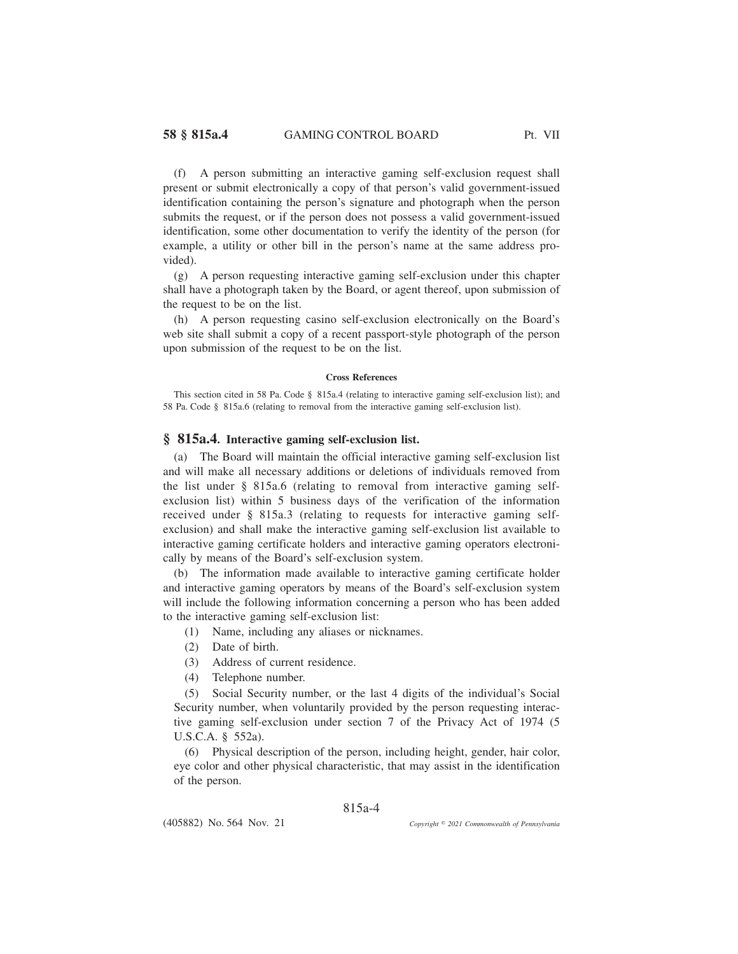(f) A person submitting an interactive gaming self-exclusion request shall present or submit electronically a copy of that person's valid government-issued identification containing the person's signature and photograph when the person submits the request, or if the person does not possess a valid government-issued identification, some other documentation to verify the identity of the person (for example, a utility or other bill in the person's name at the same address provided).

(g) A person requesting interactive gaming self-exclusion under this chapter shall have a photograph taken by the Board, or agent thereof, upon submission of the request to be on the list.

(h) A person requesting casino self-exclusion electronically on the Board's web site shall submit a copy of a recent passport-style photograph of the person upon submission of the request to be on the list.

#### **Cross References**

This section cited in 58 Pa. Code § 815a.4 (relating to interactive gaming self-exclusion list); and 58 Pa. Code § 815a.6 (relating to removal from the interactive gaming self-exclusion list).

### **§ 815a.4. Interactive gaming self-exclusion list.**

(a) The Board will maintain the official interactive gaming self-exclusion list and will make all necessary additions or deletions of individuals removed from the list under § 815a.6 (relating to removal from interactive gaming selfexclusion list) within 5 business days of the verification of the information received under § 815a.3 (relating to requests for interactive gaming selfexclusion) and shall make the interactive gaming self-exclusion list available to interactive gaming certificate holders and interactive gaming operators electronically by means of the Board's self-exclusion system.

(b) The information made available to interactive gaming certificate holder and interactive gaming operators by means of the Board's self-exclusion system will include the following information concerning a person who has been added to the interactive gaming self-exclusion list:

(1) Name, including any aliases or nicknames.

- (2) Date of birth.
- (3) Address of current residence.
- (4) Telephone number.

(5) Social Security number, or the last 4 digits of the individual's Social Security number, when voluntarily provided by the person requesting interactive gaming self-exclusion under section 7 of the Privacy Act of 1974 (5 U.S.C.A. § 552a).

(6) Physical description of the person, including height, gender, hair color, eye color and other physical characteristic, that may assist in the identification of the person.

### 815a-4

(405882) No. 564 Nov. 21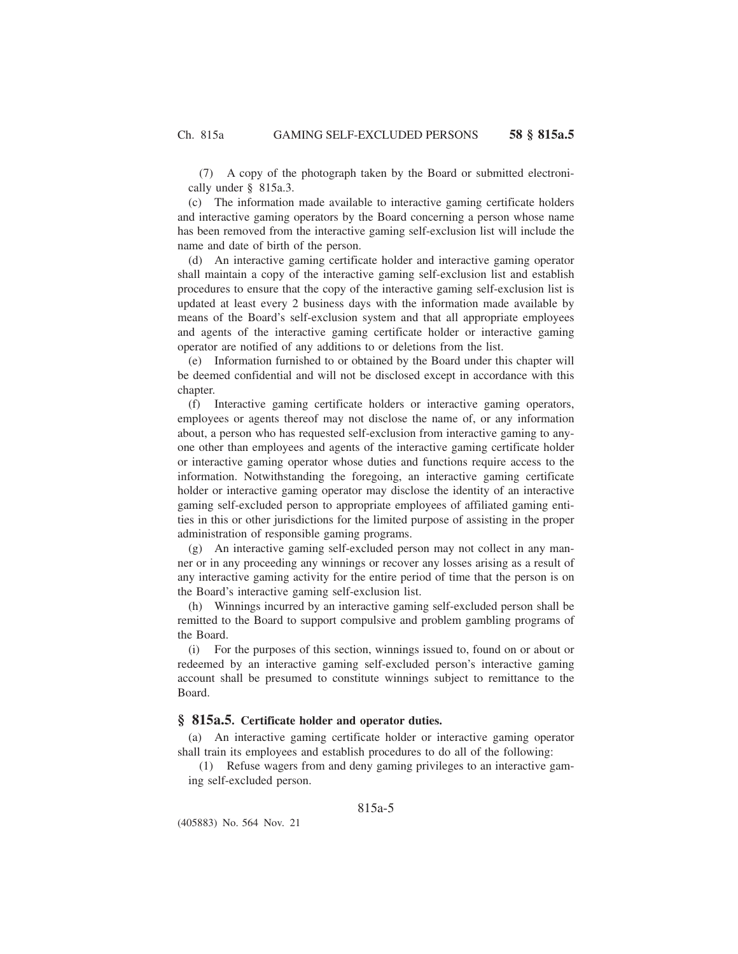(7) A copy of the photograph taken by the Board or submitted electronically under § 815a.3.

(c) The information made available to interactive gaming certificate holders and interactive gaming operators by the Board concerning a person whose name has been removed from the interactive gaming self-exclusion list will include the name and date of birth of the person.

(d) An interactive gaming certificate holder and interactive gaming operator shall maintain a copy of the interactive gaming self-exclusion list and establish procedures to ensure that the copy of the interactive gaming self-exclusion list is updated at least every 2 business days with the information made available by means of the Board's self-exclusion system and that all appropriate employees and agents of the interactive gaming certificate holder or interactive gaming operator are notified of any additions to or deletions from the list.

(e) Information furnished to or obtained by the Board under this chapter will be deemed confidential and will not be disclosed except in accordance with this chapter.

(f) Interactive gaming certificate holders or interactive gaming operators, employees or agents thereof may not disclose the name of, or any information about, a person who has requested self-exclusion from interactive gaming to anyone other than employees and agents of the interactive gaming certificate holder or interactive gaming operator whose duties and functions require access to the information. Notwithstanding the foregoing, an interactive gaming certificate holder or interactive gaming operator may disclose the identity of an interactive gaming self-excluded person to appropriate employees of affiliated gaming entities in this or other jurisdictions for the limited purpose of assisting in the proper administration of responsible gaming programs.

(g) An interactive gaming self-excluded person may not collect in any manner or in any proceeding any winnings or recover any losses arising as a result of any interactive gaming activity for the entire period of time that the person is on the Board's interactive gaming self-exclusion list.

(h) Winnings incurred by an interactive gaming self-excluded person shall be remitted to the Board to support compulsive and problem gambling programs of the Board.

(i) For the purposes of this section, winnings issued to, found on or about or redeemed by an interactive gaming self-excluded person's interactive gaming account shall be presumed to constitute winnings subject to remittance to the Board.

# **§ 815a.5. Certificate holder and operator duties.**

(a) An interactive gaming certificate holder or interactive gaming operator shall train its employees and establish procedures to do all of the following:

(1) Refuse wagers from and deny gaming privileges to an interactive gaming self-excluded person.

## 815a-5

(405883) No. 564 Nov. 21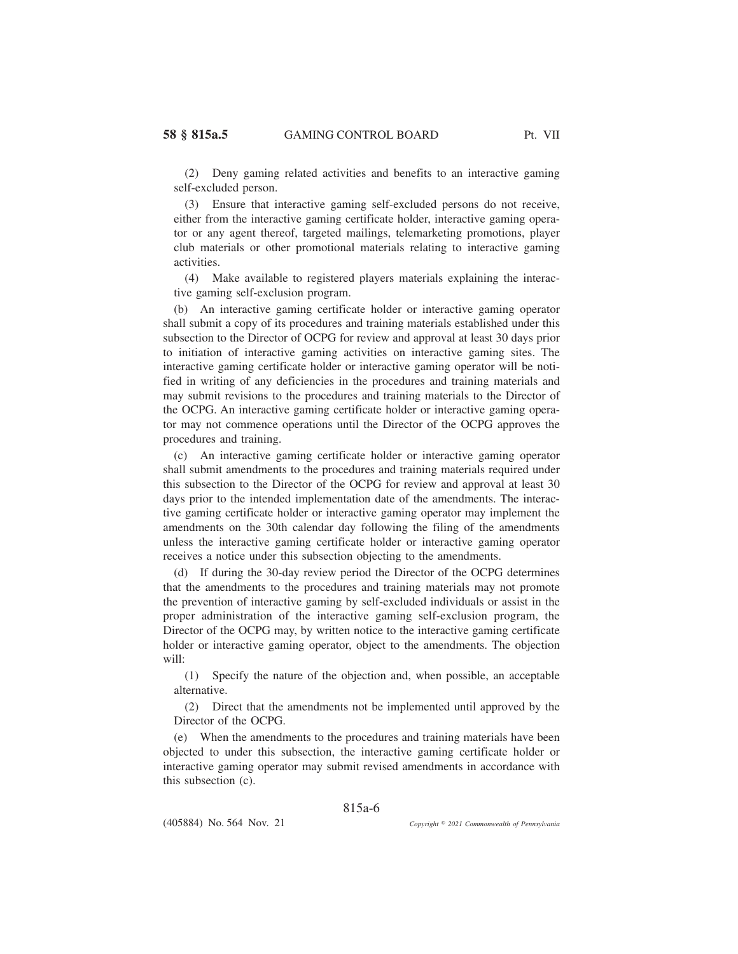(2) Deny gaming related activities and benefits to an interactive gaming self-excluded person.

(3) Ensure that interactive gaming self-excluded persons do not receive, either from the interactive gaming certificate holder, interactive gaming operator or any agent thereof, targeted mailings, telemarketing promotions, player club materials or other promotional materials relating to interactive gaming activities.

(4) Make available to registered players materials explaining the interactive gaming self-exclusion program.

(b) An interactive gaming certificate holder or interactive gaming operator shall submit a copy of its procedures and training materials established under this subsection to the Director of OCPG for review and approval at least 30 days prior to initiation of interactive gaming activities on interactive gaming sites. The interactive gaming certificate holder or interactive gaming operator will be notified in writing of any deficiencies in the procedures and training materials and may submit revisions to the procedures and training materials to the Director of the OCPG. An interactive gaming certificate holder or interactive gaming operator may not commence operations until the Director of the OCPG approves the procedures and training.

(c) An interactive gaming certificate holder or interactive gaming operator shall submit amendments to the procedures and training materials required under this subsection to the Director of the OCPG for review and approval at least 30 days prior to the intended implementation date of the amendments. The interactive gaming certificate holder or interactive gaming operator may implement the amendments on the 30th calendar day following the filing of the amendments unless the interactive gaming certificate holder or interactive gaming operator receives a notice under this subsection objecting to the amendments.

(d) If during the 30-day review period the Director of the OCPG determines that the amendments to the procedures and training materials may not promote the prevention of interactive gaming by self-excluded individuals or assist in the proper administration of the interactive gaming self-exclusion program, the Director of the OCPG may, by written notice to the interactive gaming certificate holder or interactive gaming operator, object to the amendments. The objection will:

(1) Specify the nature of the objection and, when possible, an acceptable alternative.

(2) Direct that the amendments not be implemented until approved by the Director of the OCPG.

(e) When the amendments to the procedures and training materials have been objected to under this subsection, the interactive gaming certificate holder or interactive gaming operator may submit revised amendments in accordance with this subsection (c).

815a-6

(405884) No. 564 Nov. 21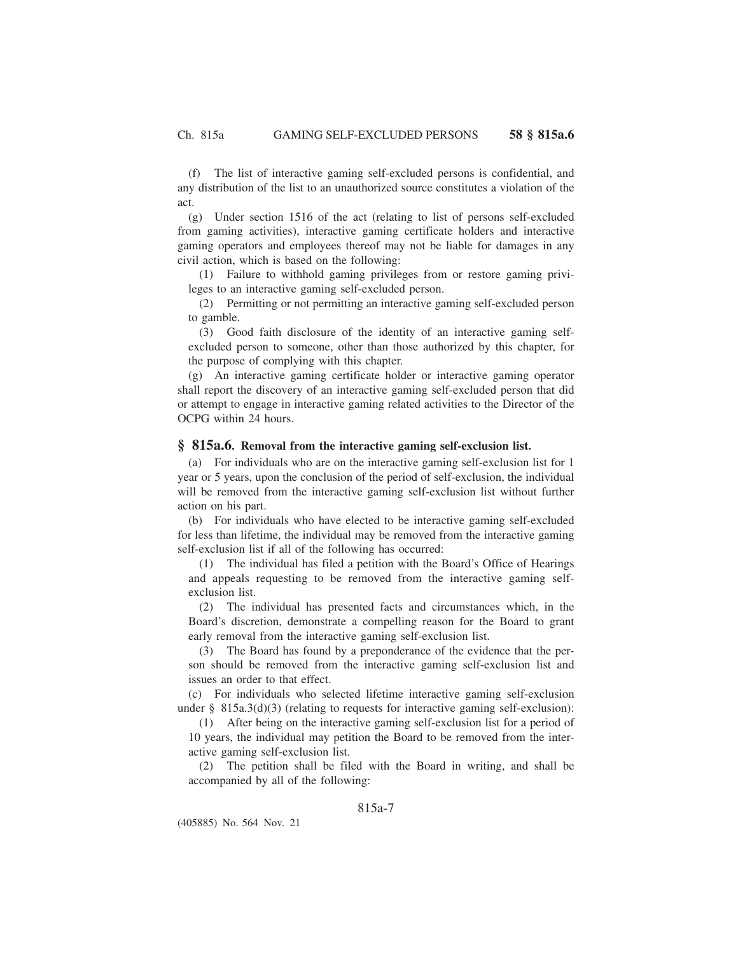(f) The list of interactive gaming self-excluded persons is confidential, and any distribution of the list to an unauthorized source constitutes a violation of the act.

(g) Under section 1516 of the act (relating to list of persons self-excluded from gaming activities), interactive gaming certificate holders and interactive gaming operators and employees thereof may not be liable for damages in any civil action, which is based on the following:

(1) Failure to withhold gaming privileges from or restore gaming privileges to an interactive gaming self-excluded person.

(2) Permitting or not permitting an interactive gaming self-excluded person to gamble.

(3) Good faith disclosure of the identity of an interactive gaming selfexcluded person to someone, other than those authorized by this chapter, for the purpose of complying with this chapter.

(g) An interactive gaming certificate holder or interactive gaming operator shall report the discovery of an interactive gaming self-excluded person that did or attempt to engage in interactive gaming related activities to the Director of the OCPG within 24 hours.

### **§ 815a.6. Removal from the interactive gaming self-exclusion list.**

(a) For individuals who are on the interactive gaming self-exclusion list for 1 year or 5 years, upon the conclusion of the period of self-exclusion, the individual will be removed from the interactive gaming self-exclusion list without further action on his part.

(b) For individuals who have elected to be interactive gaming self-excluded for less than lifetime, the individual may be removed from the interactive gaming self-exclusion list if all of the following has occurred:

(1) The individual has filed a petition with the Board's Office of Hearings and appeals requesting to be removed from the interactive gaming selfexclusion list.

(2) The individual has presented facts and circumstances which, in the Board's discretion, demonstrate a compelling reason for the Board to grant early removal from the interactive gaming self-exclusion list.

(3) The Board has found by a preponderance of the evidence that the person should be removed from the interactive gaming self-exclusion list and issues an order to that effect.

(c) For individuals who selected lifetime interactive gaming self-exclusion under  $\S$  815a.3(d)(3) (relating to requests for interactive gaming self-exclusion):

(1) After being on the interactive gaming self-exclusion list for a period of 10 years, the individual may petition the Board to be removed from the interactive gaming self-exclusion list.

(2) The petition shall be filed with the Board in writing, and shall be accompanied by all of the following:

## 815a-7

(405885) No. 564 Nov. 21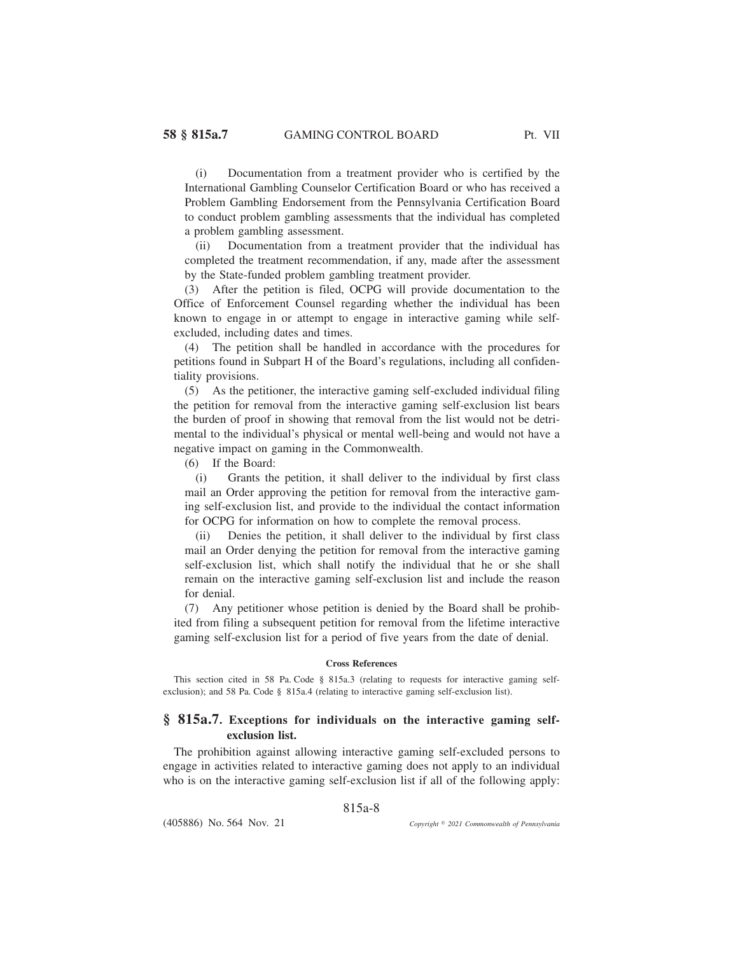(i) Documentation from a treatment provider who is certified by the International Gambling Counselor Certification Board or who has received a Problem Gambling Endorsement from the Pennsylvania Certification Board to conduct problem gambling assessments that the individual has completed a problem gambling assessment.

(ii) Documentation from a treatment provider that the individual has completed the treatment recommendation, if any, made after the assessment by the State-funded problem gambling treatment provider.

(3) After the petition is filed, OCPG will provide documentation to the Office of Enforcement Counsel regarding whether the individual has been known to engage in or attempt to engage in interactive gaming while selfexcluded, including dates and times.

(4) The petition shall be handled in accordance with the procedures for petitions found in Subpart H of the Board's regulations, including all confidentiality provisions.

(5) As the petitioner, the interactive gaming self-excluded individual filing the petition for removal from the interactive gaming self-exclusion list bears the burden of proof in showing that removal from the list would not be detrimental to the individual's physical or mental well-being and would not have a negative impact on gaming in the Commonwealth.

(6) If the Board:

(i) Grants the petition, it shall deliver to the individual by first class mail an Order approving the petition for removal from the interactive gaming self-exclusion list, and provide to the individual the contact information for OCPG for information on how to complete the removal process.

(ii) Denies the petition, it shall deliver to the individual by first class mail an Order denying the petition for removal from the interactive gaming self-exclusion list, which shall notify the individual that he or she shall remain on the interactive gaming self-exclusion list and include the reason for denial.

(7) Any petitioner whose petition is denied by the Board shall be prohibited from filing a subsequent petition for removal from the lifetime interactive gaming self-exclusion list for a period of five years from the date of denial.

#### **Cross References**

This section cited in 58 Pa. Code § 815a.3 (relating to requests for interactive gaming selfexclusion); and 58 Pa. Code § 815a.4 (relating to interactive gaming self-exclusion list).

## **§ 815a.7. Exceptions for individuals on the interactive gaming selfexclusion list.**

The prohibition against allowing interactive gaming self-excluded persons to engage in activities related to interactive gaming does not apply to an individual who is on the interactive gaming self-exclusion list if all of the following apply:

815a-8

(405886) No. 564 Nov. 21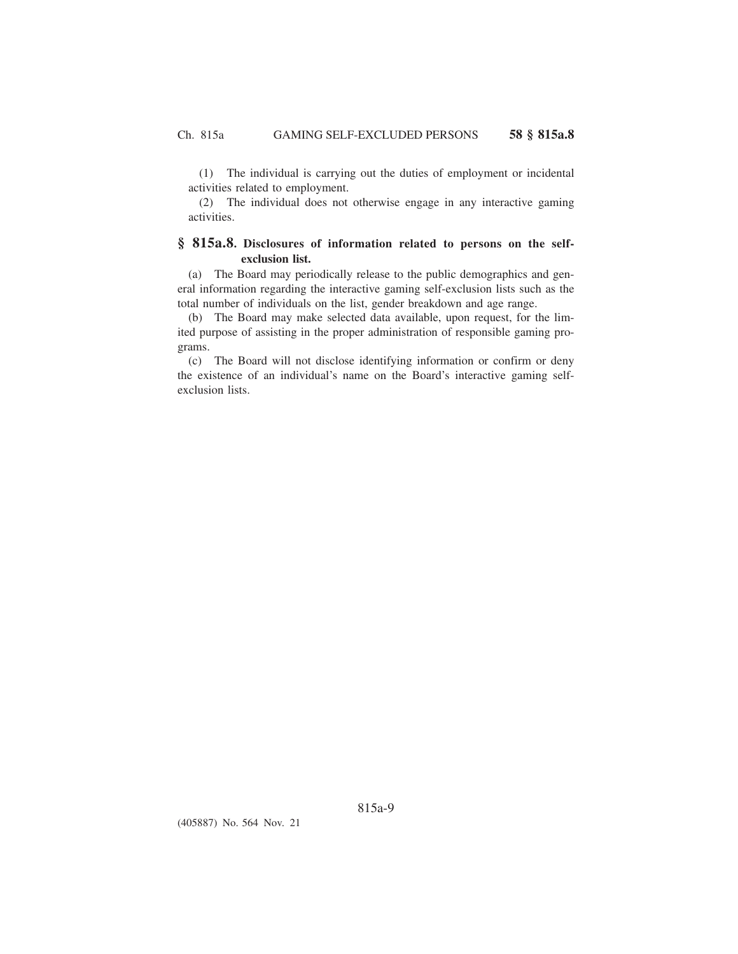(1) The individual is carrying out the duties of employment or incidental activities related to employment.

(2) The individual does not otherwise engage in any interactive gaming activities.

# **§ 815a.8. Disclosures of information related to persons on the selfexclusion list.**

(a) The Board may periodically release to the public demographics and general information regarding the interactive gaming self-exclusion lists such as the total number of individuals on the list, gender breakdown and age range.

(b) The Board may make selected data available, upon request, for the limited purpose of assisting in the proper administration of responsible gaming programs.

(c) The Board will not disclose identifying information or confirm or deny the existence of an individual's name on the Board's interactive gaming selfexclusion lists.

(405887) No. 564 Nov. 21

815a-9